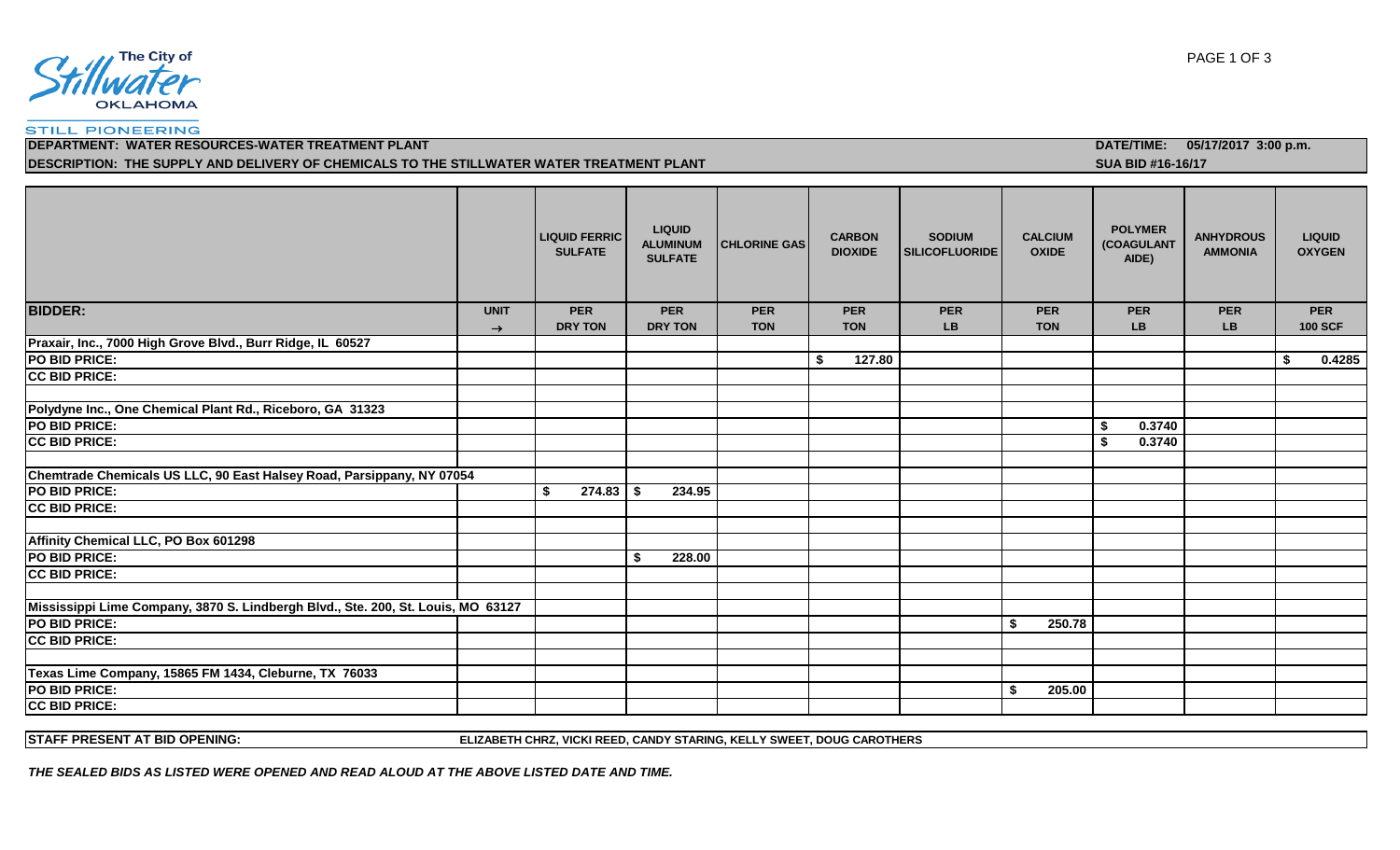

#### **STILL PIONEERING**

**DESCRIPTION: THE SUPPLY AND DELIVERY OF CHEMICALS TO THE STILLWATER WATER TREATMENT PLANT SUA BID #16-16/17 SUA BID #16-16/17** 

### **LIQUID FERRIC SULFATE LIQUID ALUMINUM SULFATE CHLORINE GAS CARBON DIOXIDE SODIUM SILICOFLUORIDE CALCIUM OXIDE POLYMER (COAGULANT AIDE) ANHYDROUS AMMONIA LIQUID OXYGEN BIDDER: UNIT PER PER PER PER PER PER PER PER PER DRY TON DRY TON TON TON LB TON LB LB 100 SCF Praxair, Inc., 7000 High Grove Blvd., Burr Ridge, IL 60527 PO BID PRICE: \$ 127.80 \$ 0.4285 CC BID PRICE: Polydyne Inc., One Chemical Plant Rd., Riceboro, GA 31323 PO BID PRICE: \$ 0.3740 CC BID PRICE: \$ 0.3740 Chemtrade Chemicals US LLC, 90 East Halsey Road, Parsippany, NY 07054 PO BID PRICE:** 234.95 **CC BID PRICE: Affinity Chemical LLC, PO Box 601298 PO BID PRICE: \$ 228.00 CC BID PRICE: Mississippi Lime Company, 3870 S. Lindbergh Blvd., Ste. 200, St. Louis, MO 63127 PO BID PRICE: \$ 250.78 CC BID PRICE: Texas Lime Company, 15865 FM 1434, Cleburne, TX 76033 PO BID PRICE: \$ 205.00 CC BID PRICE:**

**STAFF PRESENT AT BID OPENING: ELIZABETH CHRZ, VICKI REED, CANDY STARING, KELLY SWEET, DOUG CAROTHERS**

*THE SEALED BIDS AS LISTED WERE OPENED AND READ ALOUD AT THE ABOVE LISTED DATE AND TIME.*

**DEPARTMENT: WATER RESOURCES-WATER TREATMENT PLANT DATE/TIME: 05/17/2017 3:00 p.m.**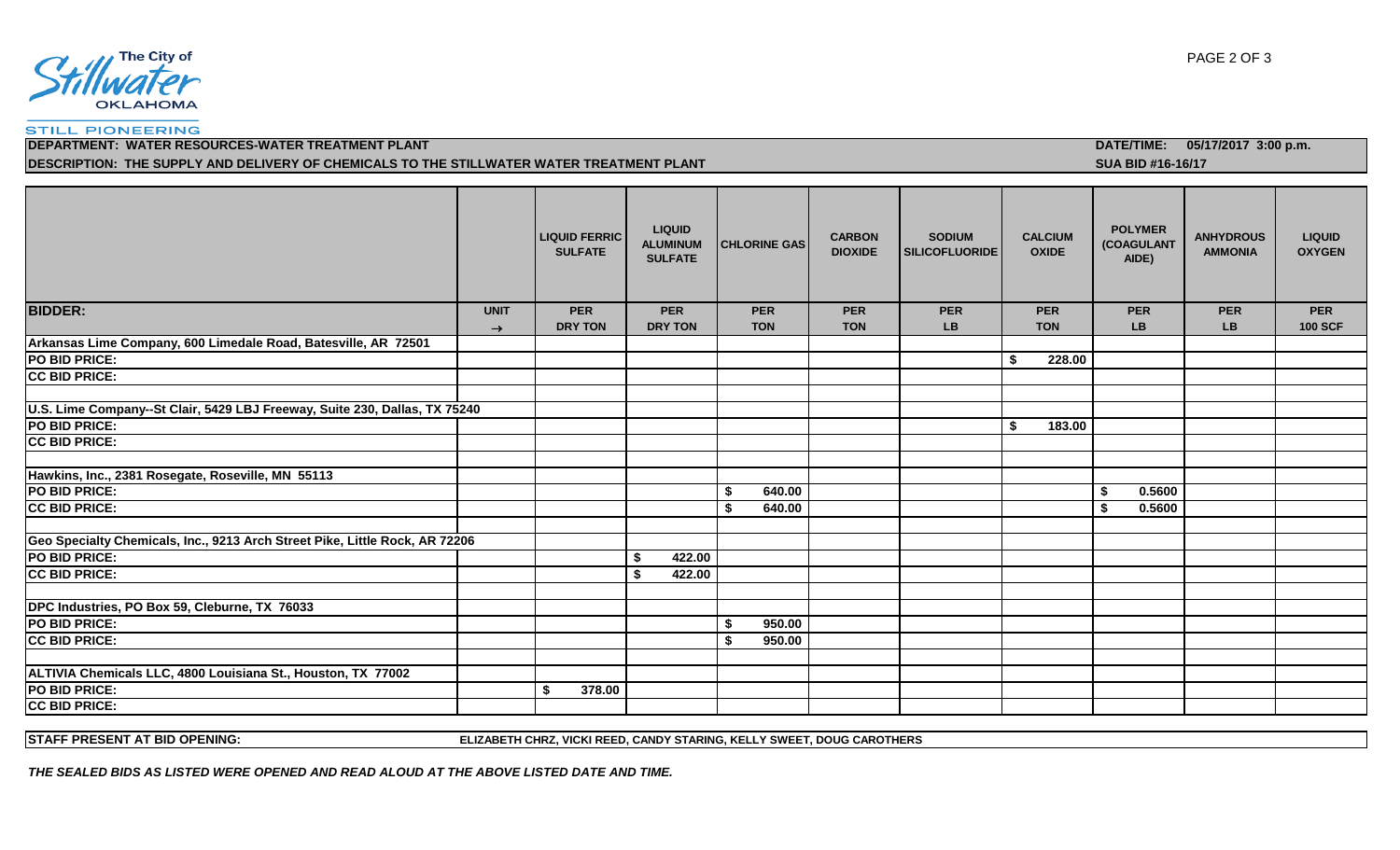

#### **STILL PIONEERING**

**DESCRIPTION: THE SUPPLY AND DELIVERY OF CHEMICALS TO THE STILLWATER WATER TREATMENT PLANT** *SUA BID #16-16/17* 

|                                                                             |               | <b>LIQUID FERRIC</b><br><b>SULFATE</b> | <b>LIQUID</b><br><b>ALUMINUM</b><br><b>SULFATE</b> | <b>CHLORINE GAS</b> | <b>CARBON</b><br><b>DIOXIDE</b> | <b>SODIUM</b><br><b>SILICOFLUORIDE</b> | <b>CALCIUM</b><br><b>OXIDE</b> | <b>POLYMER</b><br>(COAGULANT<br>AIDE) | <b>ANHYDROUS</b><br><b>AMMONIA</b> | <b>LIQUID</b><br><b>OXYGEN</b> |
|-----------------------------------------------------------------------------|---------------|----------------------------------------|----------------------------------------------------|---------------------|---------------------------------|----------------------------------------|--------------------------------|---------------------------------------|------------------------------------|--------------------------------|
| <b>BIDDER:</b>                                                              | <b>UNIT</b>   | <b>PER</b>                             | <b>PER</b>                                         | <b>PER</b>          | <b>PER</b>                      | <b>PER</b>                             | <b>PER</b>                     | <b>PER</b>                            | <b>PER</b>                         | <b>PER</b>                     |
|                                                                             | $\rightarrow$ | <b>DRY TON</b>                         | <b>DRY TON</b>                                     | <b>TON</b>          | <b>TON</b>                      | <b>LB</b>                              | <b>TON</b>                     | <b>LB</b>                             | LB                                 | <b>100 SCF</b>                 |
| Arkansas Lime Company, 600 Limedale Road, Batesville, AR 72501              |               |                                        |                                                    |                     |                                 |                                        |                                |                                       |                                    |                                |
| PO BID PRICE:                                                               |               |                                        |                                                    |                     |                                 |                                        | 228.00<br>\$                   |                                       |                                    |                                |
| <b>CC BID PRICE:</b>                                                        |               |                                        |                                                    |                     |                                 |                                        |                                |                                       |                                    |                                |
|                                                                             |               |                                        |                                                    |                     |                                 |                                        |                                |                                       |                                    |                                |
| U.S. Lime Company--St Clair, 5429 LBJ Freeway, Suite 230, Dallas, TX 75240  |               |                                        |                                                    |                     |                                 |                                        |                                |                                       |                                    |                                |
| PO BID PRICE:                                                               |               |                                        |                                                    |                     |                                 |                                        | 183.00<br>-S                   |                                       |                                    |                                |
| <b>CC BID PRICE:</b>                                                        |               |                                        |                                                    |                     |                                 |                                        |                                |                                       |                                    |                                |
|                                                                             |               |                                        |                                                    |                     |                                 |                                        |                                |                                       |                                    |                                |
| Hawkins, Inc., 2381 Rosegate, Roseville, MN 55113                           |               |                                        |                                                    |                     |                                 |                                        |                                |                                       |                                    |                                |
| PO BID PRICE:                                                               |               |                                        |                                                    | 640.00<br>\$        |                                 |                                        |                                | 0.5600<br>\$                          |                                    |                                |
| <b>CC BID PRICE:</b>                                                        |               |                                        |                                                    | 640.00<br>\$        |                                 |                                        |                                | \$<br>0.5600                          |                                    |                                |
|                                                                             |               |                                        |                                                    |                     |                                 |                                        |                                |                                       |                                    |                                |
| Geo Specialty Chemicals, Inc., 9213 Arch Street Pike, Little Rock, AR 72206 |               |                                        |                                                    |                     |                                 |                                        |                                |                                       |                                    |                                |
| PO BID PRICE:                                                               |               |                                        | 422.00                                             |                     |                                 |                                        |                                |                                       |                                    |                                |
| <b>CC BID PRICE:</b>                                                        |               |                                        | 422.00<br>\$                                       |                     |                                 |                                        |                                |                                       |                                    |                                |
|                                                                             |               |                                        |                                                    |                     |                                 |                                        |                                |                                       |                                    |                                |
| DPC Industries, PO Box 59, Cleburne, TX 76033                               |               |                                        |                                                    |                     |                                 |                                        |                                |                                       |                                    |                                |
| PO BID PRICE:                                                               |               |                                        |                                                    | \$<br>950.00        |                                 |                                        |                                |                                       |                                    |                                |
| <b>CC BID PRICE:</b>                                                        |               |                                        |                                                    | 950.00<br>- \$      |                                 |                                        |                                |                                       |                                    |                                |
|                                                                             |               |                                        |                                                    |                     |                                 |                                        |                                |                                       |                                    |                                |
| ALTIVIA Chemicals LLC, 4800 Louisiana St., Houston, TX 77002                |               |                                        |                                                    |                     |                                 |                                        |                                |                                       |                                    |                                |
| PO BID PRICE:                                                               |               | 378.00<br>\$                           |                                                    |                     |                                 |                                        |                                |                                       |                                    |                                |
| <b>CC BID PRICE:</b>                                                        |               |                                        |                                                    |                     |                                 |                                        |                                |                                       |                                    |                                |
|                                                                             |               |                                        |                                                    |                     |                                 |                                        |                                |                                       |                                    |                                |

**STAFF PRESENT AT BID OPENING: ELIZABETH CHRZ, VICKI REED, CANDY STARING, KELLY SWEET, DOUG CAROTHERS**

*THE SEALED BIDS AS LISTED WERE OPENED AND READ ALOUD AT THE ABOVE LISTED DATE AND TIME.*

**DEPARTMENT: WATER RESOURCES-WATER TREATMENT PLANT DATE/TIME: 05/17/2017 3:00 p.m.**